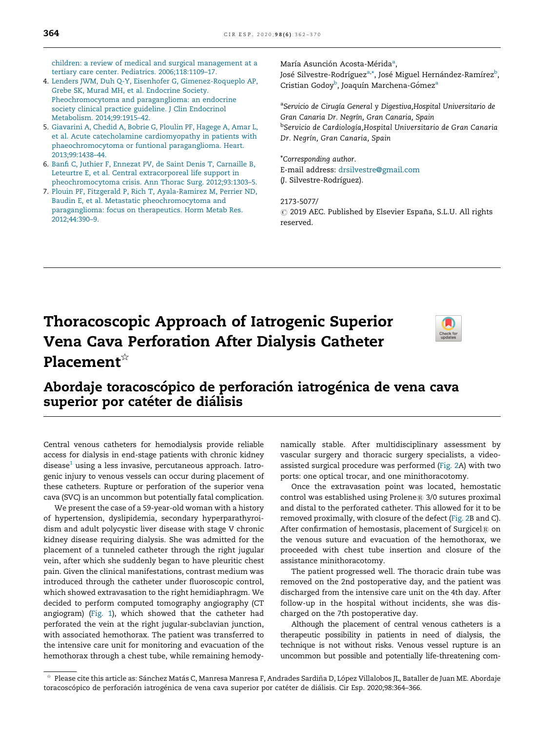children: a review of medical and surgical [management](http://refhub.elsevier.com/S2173-5077(20)30108-3/sbref0015) at a tertiary care center. Pediatrics. [2006;118:1109–17.](http://refhub.elsevier.com/S2173-5077(20)30108-3/sbref0015)

- 4. Lenders JWM, Duh Q-Y, Eisenhofer G, [Gimenez-Roqueplo](http://refhub.elsevier.com/S2173-5077(20)30108-3/sbref0020) AP, Grebe SK, Murad MH, et al. [Endocrine](http://refhub.elsevier.com/S2173-5077(20)30108-3/sbref0020) Society. [Pheochromocytoma](http://refhub.elsevier.com/S2173-5077(20)30108-3/sbref0020) and paraganglioma: an endocrine society clinical practice guideline. J Clin [Endocrinol](http://refhub.elsevier.com/S2173-5077(20)30108-3/sbref0020) Metabolism. [2014;99:1915–42](http://refhub.elsevier.com/S2173-5077(20)30108-3/sbref0020).
- 5. [Giavarini](http://refhub.elsevier.com/S2173-5077(20)30108-3/sbref0025) A, Chedid A, Bobrie G, Ploulin PF, Hagege A, Amar L, et al. Acute catecholamine [cardiomyopathy](http://refhub.elsevier.com/S2173-5077(20)30108-3/sbref0025) in patients with [phaeochromocytoma](http://refhub.elsevier.com/S2173-5077(20)30108-3/sbref0025) or funtional paraganglioma. Heart. [2013;99:1438–44.](http://refhub.elsevier.com/S2173-5077(20)30108-3/sbref0025)
- 6. Banfi C, Juthier F, Ennezat PV, de Saint Denis T, [Carnaille](http://refhub.elsevier.com/S2173-5077(20)30108-3/sbref0030) B, Leteurtre E, et al. Central [extracorporeal](http://refhub.elsevier.com/S2173-5077(20)30108-3/sbref0030) life support in [pheochromocytoma](http://refhub.elsevier.com/S2173-5077(20)30108-3/sbref0030) crisis. Ann Thorac Surg. 2012;93:1303–5.
- 7. Plouin PF, Fitzgerald P, Rich T, [Ayala-Ramirez](http://refhub.elsevier.com/S2173-5077(20)30108-3/sbref0035) M, Perrier ND, Baudin E, et al. Metastatic [pheochromocytoma](http://refhub.elsevier.com/S2173-5077(20)30108-3/sbref0035) and [paraganglioma:](http://refhub.elsevier.com/S2173-5077(20)30108-3/sbref0035) focus on therapeutics. Horm Metab Res. [2012;44:390–9](http://refhub.elsevier.com/S2173-5077(20)30108-3/sbref0035).

María Asunción Acosta-Mérida<sup>a</sup>,

José Silvestre-Rodríguez<sup>a,\*</sup>, José Miguel Hernández-Ramírez<sup>b</sup>, Cristian Godoy<sup>b</sup>, Joaquín Marchena-Gómez<sup>a</sup>

<sup>a</sup>Servicio de Cirugía General y Digestiva, Hospital Universitario de Gran Canaria Dr. Negrín, Gran Canaria, Spain <sup>b</sup>Servicio de Cardiología,Hospital Universitario de Gran Canaria Dr. Negrín, Gran Canaria, Spain

\*Corresponding author. E-mail address: [drsilvestre@gmail.com](mailto:drsilvestre@gmail.com) (J. Silvestre-Rodríguez).

2173-5077/  $\odot$  2019 AEC. Published by Elsevier España, S.L.U. All rights reserved.

# Thoracoscopic Approach of Iatrogenic Superior Vena Cava Perforation After Dialysis Catheter Placement $\mathbf{\hat{r}}$



### Abordaje toracoscópico de perforación iatrogénica de vena cava superior por catéter de diálisis

Central venous catheters for hemodialysis provide reliable access for dialysis in end-stage patients with chronic kidney  $d$ isease $1$  using a less invasive, percutaneous approach. Iatrogenic injury to venous vessels can occur during placement of these catheters. Rupture or perforation of the superior vena cava (SVC) is an uncommon but potentially fatal complication.

We present the case of a 59-year-old woman with a history of hypertension, dyslipidemia, secondary hyperparathyroidism and adult polycystic liver disease with stage V chronic kidney disease requiring dialysis. She was admitted for the placement of a tunneled catheter through the right jugular vein, after which she suddenly began to have pleuritic chest pain. Given the clinical manifestations, contrast medium was introduced through the catheter under fluoroscopic control, which showed extravasation to the right hemidiaphragm. We decided to perform computed tomography angiography (CT angiogram) (Fig. 1), which showed that the catheter had perforated the vein at the right jugular-subclavian junction, with associated hemothorax. The patient was transferred to the intensive care unit for monitoring and evacuation of the hemothorax through a chest tube, while remaining hemodynamically stable. After multidisciplinary assessment by vascular surgery and thoracic surgery specialists, a videoassisted surgical procedure was performed (Fig. 2A) with two ports: one optical trocar, and one minithoracotomy.

Once the extravasation point was located, hemostatic control was established using Prolene® 3/0 sutures proximal and distal to the perforated catheter. This allowed for it to be removed proximally, with closure of the defect (Fig. 2B and C). After confirmation of hemostasis, placement of Surgicel $@$  on the venous suture and evacuation of the hemothorax, we proceeded with chest tube insertion and closure of the assistance minithoracotomy.

The patient progressed well. The thoracic drain tube was removed on the 2nd postoperative day, and the patient was discharged from the intensive care unit on the 4th day. After follow-up in the hospital without incidents, she was discharged on the 7th postoperative day.

Although the placement of central venous catheters is a therapeutic possibility in patients in need of dialysis, the technique is not without risks. Venous vessel rupture is an uncommon but possible and potentially life-threatening com-

<sup>§</sup> Please cite this article as: Sánchez Matás C, Manresa Manresa F, Andrades Sardiña D, López Villalobos JL, Bataller de Juan ME. Abordaje toracoscópico de perforación iatrogénica de vena cava superior por catéter de diálisis. Cir Esp. 2020;98:364–366.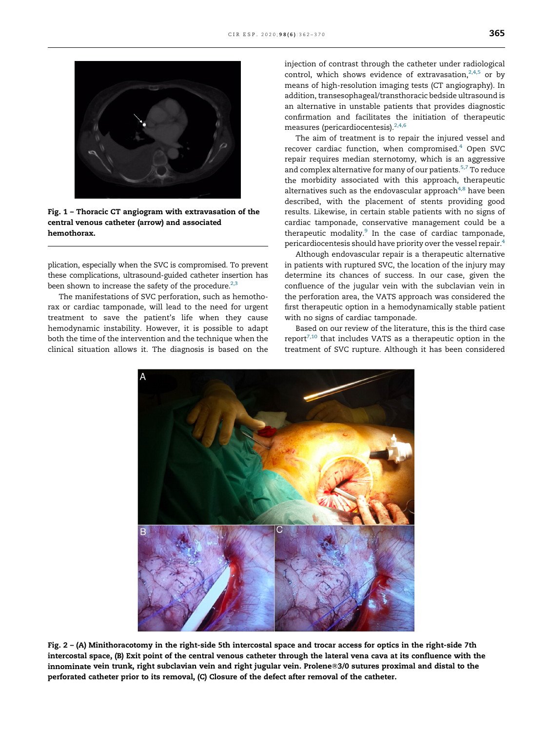

Fig. 1 – Thoracic CT angiogram with extravasation of the central venous catheter (arrow) and associated hemothorax.

plication, especially when the SVC is compromised. To prevent these complications, ultrasound-guided catheter insertion has been shown to increase the safety of the procedure. $2,3$ 

The manifestations of SVC perforation, such as hemothorax or cardiac tamponade, will lead to the need for urgent treatment to save the patient's life when they cause hemodynamic instability. However, it is possible to adapt both the time of the intervention and the technique when the clinical situation allows it. The diagnosis is based on the injection of contrast through the catheter under radiological control, which shows evidence of extravasation, $2,4,5$  or by means of high-resolution imaging tests (CT angiography). In addition, transesophageal/transthoracic bedside ultrasound is an alternative in unstable patients that provides diagnostic confirmation and facilitates the initiation of therapeutic measures (pericardiocentesis). $2,4,6$ 

The aim of treatment is to repair the injured vessel and recover cardiac function, when compromised. $4$  Open SVC repair requires median sternotomy, which is an aggressive and complex alternative for many of our patients.<sup>[5,7](#page-2-0)</sup> To reduce the morbidity associated with this approach, therapeutic alternatives such as the endovascular approach $^{4,8}$  $^{4,8}$  $^{4,8}$  have been described, with the placement of stents providing good results. Likewise, in certain stable patients with no signs of cardiac tamponade, conservative management could be a therapeutic modality.<sup>[9](#page-2-0)</sup> In the case of cardiac tamponade, pericardiocentesis should have priority over the vessel repair.<sup>[4](#page-2-0)</sup>

Although endovascular repair is a therapeutic alternative in patients with ruptured SVC, the location of the injury may determine its chances of success. In our case, given the confluence of the jugular vein with the subclavian vein in the perforation area, the VATS approach was considered the first therapeutic option in a hemodynamically stable patient with no signs of cardiac tamponade.

Based on our review of the literature, this is the third case  $report^{7,10}$  $report^{7,10}$  $report^{7,10}$  that includes VATS as a therapeutic option in the treatment of SVC rupture. Although it has been considered



Fig. 2 – (A) Minithoracotomy in the right-side 5th intercostal space and trocar access for optics in the right-side 7th intercostal space, (B) Exit point of the central venous catheter through the lateral vena cava at its confluence with the innominate vein trunk, right subclavian vein and right jugular vein. Prolene®3/0 sutures proximal and distal to the perforated catheter prior to its removal, (C) Closure of the defect after removal of the catheter.